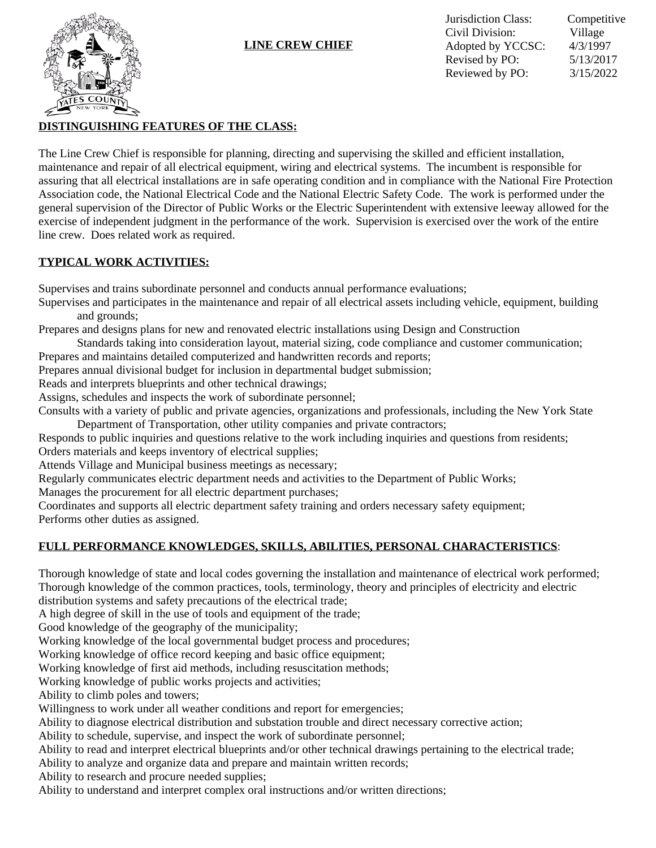

### **LINE CREW CHIEF**

## **DISTINGUISHING FEATURES OF THE CLASS:**

The Line Crew Chief is responsible for planning, directing and supervising the skilled and efficient installation, maintenance and repair of all electrical equipment, wiring and electrical systems. The incumbent is responsible for assuring that all electrical installations are in safe operating condition and in compliance with the National Fire Protection Association code, the National Electrical Code and the National Electric Safety Code. The work is performed under the general supervision of the Director of Public Works or the Electric Superintendent with extensive leeway allowed for the exercise of independent judgment in the performance of the work. Supervision is exercised over the work of the entire line crew. Does related work as required.

### **TYPICAL WORK ACTIVITIES:**

Supervises and trains subordinate personnel and conducts annual performance evaluations;

Supervises and participates in the maintenance and repair of all electrical assets including vehicle, equipment, building and grounds;

Prepares and designs plans for new and renovated electric installations using Design and Construction

Standards taking into consideration layout, material sizing, code compliance and customer communication;

Prepares and maintains detailed computerized and handwritten records and reports;

Prepares annual divisional budget for inclusion in departmental budget submission;

Reads and interprets blueprints and other technical drawings;

Assigns, schedules and inspects the work of subordinate personnel;

Consults with a variety of public and private agencies, organizations and professionals, including the New York State Department of Transportation, other utility companies and private contractors;

Responds to public inquiries and questions relative to the work including inquiries and questions from residents; Orders materials and keeps inventory of electrical supplies;

Attends Village and Municipal business meetings as necessary;

Regularly communicates electric department needs and activities to the Department of Public Works;

Manages the procurement for all electric department purchases;

Coordinates and supports all electric department safety training and orders necessary safety equipment; Performs other duties as assigned.

# **FULL PERFORMANCE KNOWLEDGES, SKILLS, ABILITIES, PERSONAL CHARACTERISTICS**:

Thorough knowledge of state and local codes governing the installation and maintenance of electrical work performed; Thorough knowledge of the common practices, tools, terminology, theory and principles of electricity and electric

distribution systems and safety precautions of the electrical trade;

A high degree of skill in the use of tools and equipment of the trade;

Good knowledge of the geography of the municipality;

Working knowledge of the local governmental budget process and procedures;

Working knowledge of office record keeping and basic office equipment;

Working knowledge of first aid methods, including resuscitation methods;

Working knowledge of public works projects and activities;

Ability to climb poles and towers;

Willingness to work under all weather conditions and report for emergencies;

Ability to diagnose electrical distribution and substation trouble and direct necessary corrective action;

Ability to schedule, supervise, and inspect the work of subordinate personnel;

Ability to read and interpret electrical blueprints and/or other technical drawings pertaining to the electrical trade;

Ability to analyze and organize data and prepare and maintain written records;

Ability to research and procure needed supplies;

Ability to understand and interpret complex oral instructions and/or written directions;